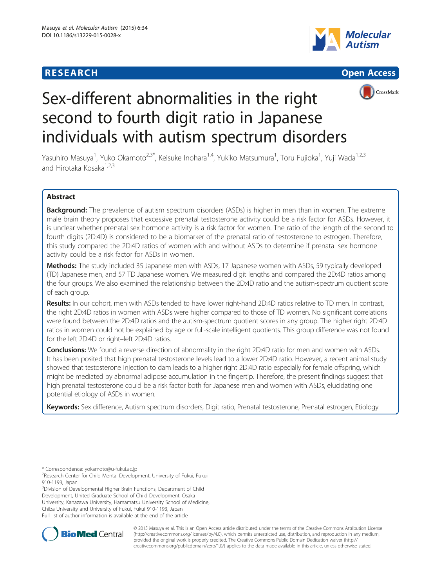# **RESEARCH CHINESE ARCH CHINESE ARCHITECT ARCHITECT ARCHITECT ARCHITECT ARCHITECT ARCHITECT ARCHITECT ARCHITECT ARCHITECT ARCHITECT ARCHITECT ARCHITECT ARCHITECT ARCHITECT ARCHITECT ARCHITECT ARCHITECT ARCHITECT ARCHITE**







# Sex-different abnormalities in the right second to fourth digit ratio in Japanese individuals with autism spectrum disorders

Yasuhiro Masuya<sup>1</sup>, Yuko Okamoto<sup>2,3\*</sup>, Keisuke Inohara<sup>1,4</sup>, Yukiko Matsumura<sup>1</sup>, Toru Fujioka<sup>1</sup>, Yuji Wada<sup>1,2,3</sup> and Hirotaka Kosaka<sup>1,2,3</sup>

# Abstract

**Background:** The prevalence of autism spectrum disorders (ASDs) is higher in men than in women. The extreme male brain theory proposes that excessive prenatal testosterone activity could be a risk factor for ASDs. However, it is unclear whether prenatal sex hormone activity is a risk factor for women. The ratio of the length of the second to fourth digits (2D:4D) is considered to be a biomarker of the prenatal ratio of testosterone to estrogen. Therefore, this study compared the 2D:4D ratios of women with and without ASDs to determine if prenatal sex hormone activity could be a risk factor for ASDs in women.

Methods: The study included 35 Japanese men with ASDs, 17 Japanese women with ASDs, 59 typically developed (TD) Japanese men, and 57 TD Japanese women. We measured digit lengths and compared the 2D:4D ratios among the four groups. We also examined the relationship between the 2D:4D ratio and the autism-spectrum quotient score of each group.

Results: In our cohort, men with ASDs tended to have lower right-hand 2D:4D ratios relative to TD men. In contrast, the right 2D:4D ratios in women with ASDs were higher compared to those of TD women. No significant correlations were found between the 2D:4D ratios and the autism-spectrum quotient scores in any group. The higher right 2D:4D ratios in women could not be explained by age or full-scale intelligent quotients. This group difference was not found for the left 2D:4D or right–left 2D:4D ratios.

Conclusions: We found a reverse direction of abnormality in the right 2D:4D ratio for men and women with ASDs. It has been posited that high prenatal testosterone levels lead to a lower 2D:4D ratio. However, a recent animal study showed that testosterone injection to dam leads to a higher right 2D:4D ratio especially for female offspring, which might be mediated by abnormal adipose accumulation in the fingertip. Therefore, the present findings suggest that high prenatal testosterone could be a risk factor both for Japanese men and women with ASDs, elucidating one potential etiology of ASDs in women.

Keywords: Sex difference, Autism spectrum disorders, Digit ratio, Prenatal testosterone, Prenatal estrogen, Etiology

\* Correspondence: [yokamoto@u-fukui.ac.jp](mailto:yokamoto@u-fukui.ac.jp) <sup>2</sup>

<sup>2</sup>Research Center for Child Mental Development, University of Fukui, Fukui 910-1193, Japan

<sup>3</sup>Division of Developmental Higher Brain Functions, Department of Child Development, United Graduate School of Child Development, Osaka University, Kanazawa University, Hamamatsu University School of Medicine, Chiba University and University of Fukui, Fukui 910-1193, Japan Full list of author information is available at the end of the article



© 2015 Masuya et al. This is an Open Access article distributed under the terms of the Creative Commons Attribution License [\(http://creativecommons.org/licenses/by/4.0\)](http://creativecommons.org/licenses/by/4.0), which permits unrestricted use, distribution, and reproduction in any medium, provided the original work is properly credited. The Creative Commons Public Domain Dedication waiver [\(http://](http://creativecommons.org/publicdomain/zero/1.0/) [creativecommons.org/publicdomain/zero/1.0/\)](http://creativecommons.org/publicdomain/zero/1.0/) applies to the data made available in this article, unless otherwise stated.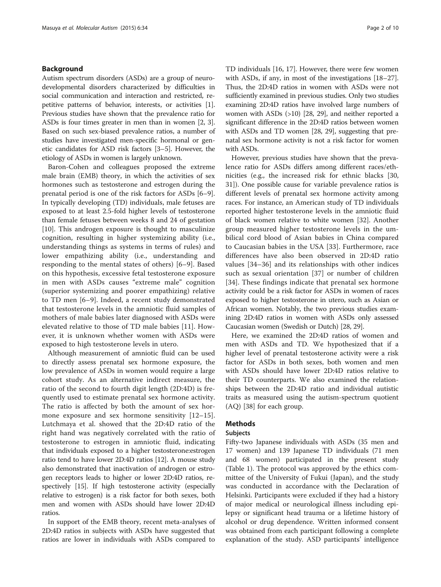#### Background

Autism spectrum disorders (ASDs) are a group of neurodevelopmental disorders characterized by difficulties in social communication and interaction and restricted, repetitive patterns of behavior, interests, or activities [[1](#page-7-0)]. Previous studies have shown that the prevalence ratio for ASDs is four times greater in men than in women [\[2](#page-7-0), [3](#page-7-0)]. Based on such sex-biased prevalence ratios, a number of studies have investigated men-specific hormonal or genetic candidates for ASD risk factors [[3](#page-7-0)–[5](#page-8-0)]. However, the etiology of ASDs in women is largely unknown.

Baron-Cohen and colleagues proposed the extreme male brain (EMB) theory, in which the activities of sex hormones such as testosterone and estrogen during the prenatal period is one of the risk factors for ASDs [\[6](#page-8-0)–[9](#page-8-0)]. In typically developing (TD) individuals, male fetuses are exposed to at least 2.5-fold higher levels of testosterone than female fetuses between weeks 8 and 24 of gestation [[10\]](#page-8-0). This androgen exposure is thought to masculinize cognition, resulting in higher systemizing ability (i.e., understanding things as systems in terms of rules) and lower empathizing ability (i.e., understanding and responding to the mental states of others) [\[6](#page-8-0)–[9](#page-8-0)]. Based on this hypothesis, excessive fetal testosterone exposure in men with ASDs causes "extreme male" cognition (superior systemizing and poorer empathizing) relative to TD men [[6](#page-8-0)–[9\]](#page-8-0). Indeed, a recent study demonstrated that testosterone levels in the amniotic fluid samples of mothers of male babies later diagnosed with ASDs were elevated relative to those of TD male babies [\[11](#page-8-0)]. However, it is unknown whether women with ASDs were exposed to high testosterone levels in utero.

Although measurement of amniotic fluid can be used to directly assess prenatal sex hormone exposure, the low prevalence of ASDs in women would require a large cohort study. As an alternative indirect measure, the ratio of the second to fourth digit length (2D:4D) is frequently used to estimate prenatal sex hormone activity. The ratio is affected by both the amount of sex hormone exposure and sex hormone sensitivity [[12](#page-8-0)–[15](#page-8-0)]. Lutchmaya et al. showed that the 2D:4D ratio of the right hand was negatively correlated with the ratio of testosterone to estrogen in amniotic fluid, indicating that individuals exposed to a higher testosterone:estrogen ratio tend to have lower 2D:4D ratios [\[12](#page-8-0)]. A mouse study also demonstrated that inactivation of androgen or estrogen receptors leads to higher or lower 2D:4D ratios, respectively [\[15\]](#page-8-0). If high testosterone activity (especially relative to estrogen) is a risk factor for both sexes, both men and women with ASDs should have lower 2D:4D ratios.

In support of the EMB theory, recent meta-analyses of 2D:4D ratios in subjects with ASDs have suggested that ratios are lower in individuals with ASDs compared to TD individuals [[16](#page-8-0), [17](#page-8-0)]. However, there were few women with ASDs, if any, in most of the investigations [[18](#page-8-0)–[27](#page-8-0)]. Thus, the 2D:4D ratios in women with ASDs were not sufficiently examined in previous studies. Only two studies examining 2D:4D ratios have involved large numbers of women with ASDs (>10) [[28](#page-8-0), [29\]](#page-8-0), and neither reported a significant difference in the 2D:4D ratios between women with ASDs and TD women [[28](#page-8-0), [29\]](#page-8-0), suggesting that prenatal sex hormone activity is not a risk factor for women with ASDs.

However, previous studies have shown that the prevalence ratio for ASDs differs among different races/ethnicities (e.g., the increased risk for ethnic blacks [[30](#page-8-0), [31\]](#page-8-0)). One possible cause for variable prevalence ratios is different levels of prenatal sex hormone activity among races. For instance, an American study of TD individuals reported higher testosterone levels in the amniotic fluid of black women relative to white women [\[32](#page-8-0)]. Another group measured higher testosterone levels in the umbilical cord blood of Asian babies in China compared to Caucasian babies in the USA [\[33](#page-8-0)]. Furthermore, race differences have also been observed in 2D:4D ratio values [\[34](#page-8-0)–[36\]](#page-8-0) and its relationships with other indices such as sexual orientation [\[37](#page-8-0)] or number of children [[34\]](#page-8-0). These findings indicate that prenatal sex hormone activity could be a risk factor for ASDs in women of races exposed to higher testosterone in utero, such as Asian or African women. Notably, the two previous studies examining 2D:4D ratios in women with ASDs only assessed Caucasian women (Swedish or Dutch) [\[28, 29\]](#page-8-0).

Here, we examined the 2D:4D ratios of women and men with ASDs and TD. We hypothesized that if a higher level of prenatal testosterone activity were a risk factor for ASDs in both sexes, both women and men with ASDs should have lower 2D:4D ratios relative to their TD counterparts. We also examined the relationships between the 2D:4D ratio and individual autistic traits as measured using the autism-spectrum quotient (AQ) [[38\]](#page-8-0) for each group.

# Methods

### Subjects

Fifty-two Japanese individuals with ASDs (35 men and 17 women) and 139 Japanese TD individuals (71 men and 68 women) participated in the present study (Table [1](#page-2-0)). The protocol was approved by the ethics committee of the University of Fukui (Japan), and the study was conducted in accordance with the Declaration of Helsinki. Participants were excluded if they had a history of major medical or neurological illness including epilepsy or significant head trauma or a lifetime history of alcohol or drug dependence. Written informed consent was obtained from each participant following a complete explanation of the study. ASD participants' intelligence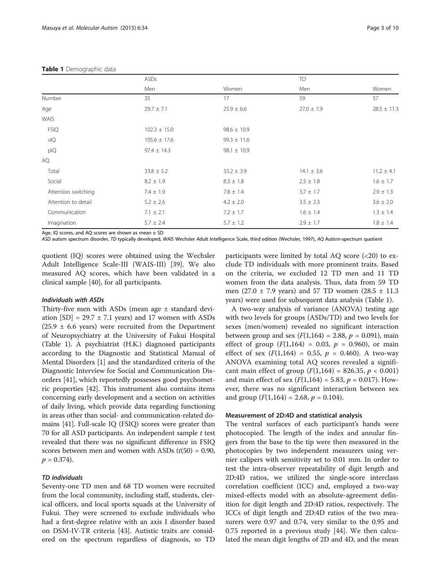#### <span id="page-2-0"></span>Table 1 Demographic data

|                     | ASDs             |                 | TD             |                 |
|---------------------|------------------|-----------------|----------------|-----------------|
|                     | Men              | Women           | Men            | Women           |
| Number              | 35               | 17              | 59             | 57              |
| Age                 | $29.7 \pm 7.1$   | $25.9 \pm 6.6$  | $27.0 \pm 7.9$ | $28.5 \pm 11.3$ |
| WAIS                |                  |                 |                |                 |
| <b>FSIQ</b>         | $102.3 \pm 15.0$ | $98.6 \pm 10.9$ |                |                 |
| vIQ                 | $105.6 \pm 17.6$ | $99.3 \pm 11.6$ |                |                 |
| plQ                 | $97.4 \pm 14.3$  | $98.1 \pm 10.9$ |                |                 |
| AQ                  |                  |                 |                |                 |
| Total               | $33.8 \pm 5.2$   | $33.2 \pm 3.9$  | $14.1 \pm 3.6$ | $11.2 \pm 4.1$  |
| Social              | $8.2 \pm 1.9$    | $8.3 \pm 1.8$   | $2.5 \pm 1.8$  | $1.6 \pm 1.7$   |
| Attention switching | $7.4 \pm 1.9$    | $7.8 \pm 1.4$   | $3.7 \pm 1.7$  | $2.9 \pm 1.3$   |
| Attention to detail | $5.2 \pm 2.6$    | $4.2 \pm 2.0$   | $3.5 \pm 2.3$  | $3.6 \pm 2.0$   |
| Communication       | $7.1 \pm 2.1$    | $7.2 \pm 1.7$   | $1.6 \pm 1.4$  | $1.3 \pm 1.4$   |
| Imagination         | $5.7 \pm 2.4$    | $5.7 \pm 1.2$   | $2.9 \pm 1.7$  | $1.8 \pm 1.4$   |

Age, IQ scores, and AQ scores are shown as mean  $\pm$  SD

ASD autism spectrum disorder, TD typically developed, WAIS Wechsler Adult Intelligence Scale, third edition (Wechsler, 1997), AQ Autism-spectrum quotient

quotient (IQ) scores were obtained using the Wechsler Adult Intelligence Scale-III (WAIS-III) [\[39](#page-8-0)]. We also measured AQ scores, which have been validated in a clinical sample [\[40\]](#page-8-0), for all participants.

### Individuals with ASDs

Thirty-five men with ASDs (mean age ± standard deviation  $[SD] = 29.7 \pm 7.1$  years) and 17 women with ASDs  $(25.9 \pm 6.6 \text{ years})$  were recruited from the Department of Neuropsychiatry at the University of Fukui Hospital (Table 1). A psychiatrist (H.K.) diagnosed participants according to the Diagnostic and Statistical Manual of Mental Disorders [\[1](#page-7-0)] and the standardized criteria of the Diagnostic Interview for Social and Communication Disorders [[41\]](#page-8-0), which reportedly possesses good psychometric properties [[42\]](#page-8-0). This instrument also contains items concerning early development and a section on activities of daily living, which provide data regarding functioning in areas other than social- and communication-related domains [\[41\]](#page-8-0). Full-scale IQ (FSIQ) scores were greater than 70 for all ASD participants. An independent sample  $t$  test revealed that there was no significant difference in FSIQ scores between men and women with ASDs  $(t(50) = 0.90,$  $p = 0.374$ .

# TD individuals

Seventy-one TD men and 68 TD women were recruited from the local community, including staff, students, clerical officers, and local sports squads at the University of Fukui. They were screened to exclude individuals who had a first-degree relative with an axis I disorder based on DSM-IV-TR criteria [[43](#page-8-0)]. Autistic traits are considered on the spectrum regardless of diagnosis, so TD

participants were limited by total AQ score  $\langle$ <20) to exclude TD individuals with more prominent traits. Based on the criteria, we excluded 12 TD men and 11 TD women from the data analysis. Thus, data from 59 TD men (27.0  $\pm$  7.9 years) and 57 TD women (28.5  $\pm$  11.3 years) were used for subsequent data analysis (Table 1).

A two-way analysis of variance (ANOVA) testing age with two levels for groups (ASDs/TD) and two levels for sexes (men/women) revealed no significant interaction between group and sex  $(F(1,164) = 2.88, p = 0.091)$ , main effect of group  $(F(1,164) = 0.03, p = 0.960)$ , or main effect of sex  $(F(1,164) = 0.55, p = 0.460)$ . A two-way ANOVA examining total AQ scores revealed a significant main effect of group  $(F(1,164) = 826.35, p < 0.001)$ and main effect of sex  $(F(1,164) = 5.83, p = 0.017)$ . However, there was no significant interaction between sex and group  $(F(1,164) = 2.68, p = 0.104)$ .

#### Measurement of 2D:4D and statistical analysis

The ventral surfaces of each participant's hands were photocopied. The length of the index and annular fingers from the base to the tip were then measured in the photocopies by two independent measurers using vernier calipers with sensitivity set to 0.01 mm. In order to test the intra-observer repeatability of digit length and 2D:4D ratios, we utilized the single-score interclass correlation coefficient (ICC) and, employed a two-way mixed-effects model with an absolute-agreement definition for digit length and 2D:4D ratios, respectively. The ICCs of digit length and 2D:4D ratios of the two measurers were 0.97 and 0.74, very similar to the 0.95 and 0.75 reported in a previous study [[44](#page-8-0)]. We then calculated the mean digit lengths of 2D and 4D, and the mean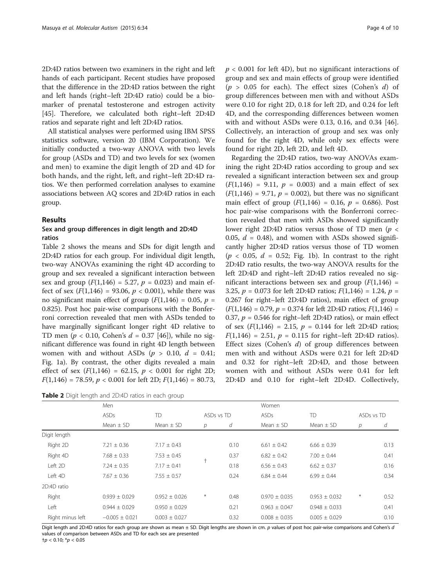2D:4D ratios between two examiners in the right and left hands of each participant. Recent studies have proposed that the difference in the 2D:4D ratios between the right and left hands (right–left 2D:4D ratio) could be a biomarker of prenatal testosterone and estrogen activity [[45\]](#page-8-0). Therefore, we calculated both right–left 2D:4D ratios and separate right and left 2D:4D ratios.

All statistical analyses were performed using IBM SPSS statistics software, version 20 (IBM Corporation). We initially conducted a two-way ANOVA with two levels for group (ASDs and TD) and two levels for sex (women and men) to examine the digit length of 2D and 4D for both hands, and the right, left, and right–left 2D:4D ratios. We then performed correlation analyses to examine associations between AQ scores and 2D:4D ratios in each group.

#### Results

# Sex and group differences in digit length and 2D:4D ratios

Table 2 shows the means and SDs for digit length and 2D:4D ratios for each group. For individual digit length, two-way ANOVAs examining the right 4D according to group and sex revealed a significant interaction between sex and group  $(F(1,146) = 5.27, p = 0.023)$  and main effect of sex  $(F(1,146) = 93.06, p < 0.001)$ , while there was no significant main effect of group ( $F(1,146) = 0.05$ ,  $p =$ 0.825). Post hoc pair-wise comparisons with the Bonferroni correction revealed that men with ASDs tended to have marginally significant longer right 4D relative to TD men ( $p < 0.10$ , Cohen's  $d = 0.37$  [\[46\]](#page-8-0)), while no significant difference was found in right 4D length between women with and without ASDs ( $p > 0.10$ ,  $d = 0.41$ ; Fig. [1a](#page-4-0)). By contrast, the other digits revealed a main effect of sex  $(F(1,146) = 62.15, p < 0.001$  for right 2D;  $F(1,146) = 78.59, p < 0.001$  for left 2D;  $F(1,146) = 80.73$ ,

| Table 2 Digit length and 2D:4D ratios in each group |  |  |  |  |  |  |  |  |
|-----------------------------------------------------|--|--|--|--|--|--|--|--|
|-----------------------------------------------------|--|--|--|--|--|--|--|--|

 $p < 0.001$  for left 4D), but no significant interactions of group and sex and main effects of group were identified  $(p > 0.05$  for each). The effect sizes (Cohen's d) of group differences between men with and without ASDs were 0.10 for right 2D, 0.18 for left 2D, and 0.24 for left 4D, and the corresponding differences between women with and without ASDs were 0.13, 0.16, and 0.34 [[46](#page-8-0)]. Collectively, an interaction of group and sex was only found for the right 4D, while only sex effects were found for right 2D, left 2D, and left 4D.

Regarding the 2D:4D ratios, two-way ANOVAs examining the right 2D:4D ratios according to group and sex revealed a significant interaction between sex and group  $(F(1,146) = 9.11, p = 0.003)$  and a main effect of sex  $(F(1,146) = 9.71, p = 0.002)$ , but there was no significant main effect of group  $(F(1,146) = 0.16, p = 0.686)$ . Post hoc pair-wise comparisons with the Bonferroni correction revealed that men with ASDs showed significantly lower right 2D:4D ratios versus those of TD men ( $p <$ 0.05,  $d = 0.48$ ), and women with ASDs showed significantly higher 2D:4D ratios versus those of TD women  $(p < 0.05, d = 0.52;$  Fig. [1](#page-4-0)b). In contrast to the right 2D:4D ratio results, the two-way ANOVA results for the left 2D:4D and right–left 2D:4D ratios revealed no significant interactions between sex and group  $(F(1,146) =$ 3.25,  $p = 0.073$  for left 2D:4D ratios;  $F(1,146) = 1.24$ ,  $p =$ 0.267 for right–left 2D:4D ratios), main effect of group  $(F(1,146) = 0.79, p = 0.374$  for left 2D:4D ratios;  $F(1,146) =$ 0.37,  $p = 0.546$  for right–left 2D:4D ratios), or main effect of sex  $(F(1,146) = 2.15, p = 0.144$  for left 2D:4D ratios;  $F(1,146) = 2.51$ ,  $p = 0.115$  for right-left 2D:4D ratios). Effect sizes (Cohen's d) of group differences between men with and without ASDs were 0.21 for left 2D:4D and 0.32 for right–left 2D:4D, and those between women with and without ASDs were 0.41 for left 2D:4D and 0.10 for right–left 2D:4D. Collectively,

|                  | Men                |                   |               |      | Women             |                   |        |            |  |
|------------------|--------------------|-------------------|---------------|------|-------------------|-------------------|--------|------------|--|
|                  | <b>ASDs</b>        | <b>TD</b>         | ASDs vs TD    |      | ASDs              | <b>TD</b>         |        | ASDs vs TD |  |
|                  | Mean $\pm$ SD      | Mean $\pm$ SD     | $\mathcal{P}$ | d    | Mean $\pm$ SD     | Mean $\pm$ SD     | р      | d          |  |
| Digit length     |                    |                   |               |      |                   |                   |        |            |  |
| Right 2D         | $7.21 \pm 0.36$    | $7.17 \pm 0.43$   |               | 0.10 | $6.61 \pm 0.42$   | $6.66 \pm 0.39$   |        | 0.13       |  |
| Right 4D         | $7.68 \pm 0.33$    | $7.53 \pm 0.45$   |               | 0.37 | $6.82 \pm 0.42$   | $7.00 \pm 0.44$   |        | 0.41       |  |
| Left 2D          | $7.24 \pm 0.35$    | $7.17 \pm 0.41$   | $^+$          | 0.18 | $6.56 \pm 0.43$   | $6.62 \pm 0.37$   |        | 0.16       |  |
| Left 4D          | $7.67 \pm 0.36$    | $7.55 \pm 0.57$   |               | 0.24 | $6.84 \pm 0.44$   | $6.99 \pm 0.44$   |        | 0.34       |  |
| 2D:4D ratio      |                    |                   |               |      |                   |                   |        |            |  |
| Right            | $0.939 \pm 0.029$  | $0.952 \pm 0.026$ | $\ast$        | 0.48 | $0.970 \pm 0.035$ | $0.953 \pm 0.032$ | $\ast$ | 0.52       |  |
| Left             | $0.944 \pm 0.029$  | $0.950 \pm 0.029$ |               | 0.21 | $0.963 \pm 0.047$ | $0.948 \pm 0.033$ |        | 0.41       |  |
| Right minus left | $-0.005 \pm 0.021$ | $0.003 \pm 0.027$ |               | 0.32 | $0.008 \pm 0.035$ | $0.005 \pm 0.029$ |        | 0.10       |  |

Digit length and 2D:4D ratios for each group are shown as mean ± SD. Digit lengths are shown in cm. p values of post hoc pair-wise comparisons and Cohen's d values of comparison between ASDs and TD for each sex are presented †p < 0.10; \*p < 0.05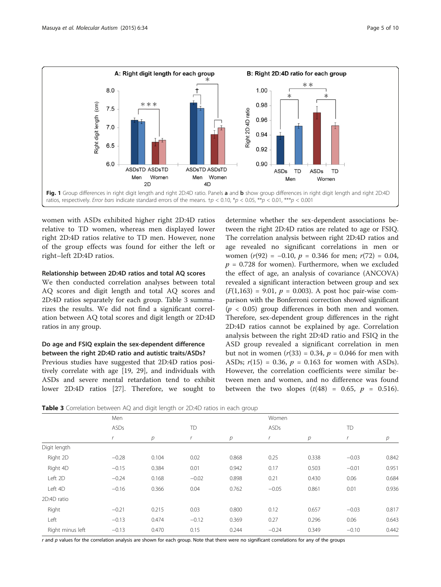<span id="page-4-0"></span>

women with ASDs exhibited higher right 2D:4D ratios relative to TD women, whereas men displayed lower right 2D:4D ratios relative to TD men. However, none of the group effects was found for either the left or right–left 2D:4D ratios.

#### Relationship between 2D:4D ratios and total AQ scores

We then conducted correlation analyses between total AQ scores and digit length and total AQ scores and 2D:4D ratios separately for each group. Table 3 summarizes the results. We did not find a significant correlation between AQ total scores and digit length or 2D:4D ratios in any group.

# Do age and FSIQ explain the sex-dependent difference between the right 2D:4D ratio and autistic traits/ASDs?

Previous studies have suggested that 2D:4D ratios positively correlate with age [[19](#page-8-0), [29](#page-8-0)], and individuals with ASDs and severe mental retardation tend to exhibit lower 2D:4D ratios [[27\]](#page-8-0). Therefore, we sought to determine whether the sex-dependent associations between the right 2D:4D ratios are related to age or FSIQ. The correlation analysis between right 2D:4D ratios and age revealed no significant correlations in men or women  $(r(92) = -0.10, p = 0.346$  for men;  $r(72) = 0.04$ ,  $p = 0.728$  for women). Furthermore, when we excluded the effect of age, an analysis of covariance (ANCOVA) revealed a significant interaction between group and sex  $(F(1,163) = 9.01, p = 0.003)$ . A post hoc pair-wise comparison with the Bonferroni correction showed significant  $(p < 0.05)$  group differences in both men and women. Therefore, sex-dependent group differences in the right 2D:4D ratios cannot be explained by age. Correlation analysis between the right 2D:4D ratio and FSIQ in the ASD group revealed a significant correlation in men but not in women  $(r(33) = 0.34, p = 0.046$  for men with ASDs;  $r(15) = 0.36$ ,  $p = 0.163$  for women with ASDs). However, the correlation coefficients were similar between men and women, and no difference was found between the two slopes  $(t(48) = 0.65, p = 0.516)$ .

Table 3 Correlation between AQ and digit length or 2D:4D ratios in each group

|                  | Men     |       |         |       | Women   |       |         |                |  |
|------------------|---------|-------|---------|-------|---------|-------|---------|----------------|--|
|                  | ASDs    |       |         | TD    |         | ASDs  |         | <b>TD</b>      |  |
|                  |         | р     |         | р     |         | p     |         | $\overline{p}$ |  |
| Digit length     |         |       |         |       |         |       |         |                |  |
| Right 2D         | $-0.28$ | 0.104 | 0.02    | 0.868 | 0.25    | 0.338 | $-0.03$ | 0.842          |  |
| Right 4D         | $-0.15$ | 0.384 | 0.01    | 0.942 | 0.17    | 0.503 | $-0.01$ | 0.951          |  |
| Left 2D          | $-0.24$ | 0.168 | $-0.02$ | 0.898 | 0.21    | 0.430 | 0.06    | 0.684          |  |
| Left 4D          | $-0.16$ | 0.366 | 0.04    | 0.762 | $-0.05$ | 0.861 | 0.01    | 0.936          |  |
| 2D:4D ratio      |         |       |         |       |         |       |         |                |  |
| Right            | $-0.21$ | 0.215 | 0.03    | 0.800 | 0.12    | 0.657 | $-0.03$ | 0.817          |  |
| Left             | $-0.13$ | 0.474 | $-0.12$ | 0.369 | 0.27    | 0.296 | 0.06    | 0.643          |  |
| Right minus left | $-0.13$ | 0.470 | 0.15    | 0.244 | $-0.24$ | 0.349 | $-0.10$ | 0.442          |  |

 $r$  and  $p$  values for the correlation analysis are shown for each group. Note that there were no significant correlations for any of the groups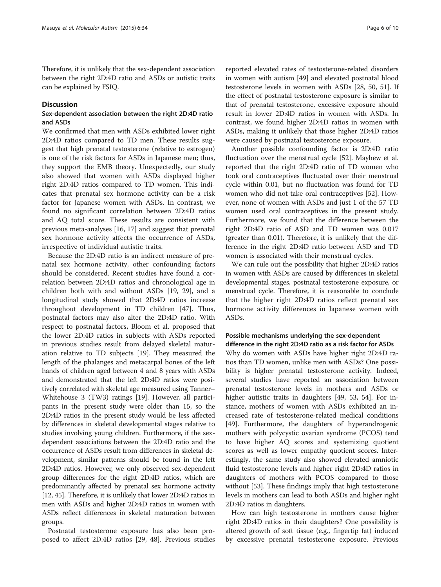Therefore, it is unlikely that the sex-dependent association between the right 2D:4D ratio and ASDs or autistic traits can be explained by FSIQ.

# **Discussion**

# Sex-dependent association between the right 2D:4D ratio and ASDs

We confirmed that men with ASDs exhibited lower right 2D:4D ratios compared to TD men. These results suggest that high prenatal testosterone (relative to estrogen) is one of the risk factors for ASDs in Japanese men; thus, they support the EMB theory. Unexpectedly, our study also showed that women with ASDs displayed higher right 2D:4D ratios compared to TD women. This indicates that prenatal sex hormone activity can be a risk factor for Japanese women with ASDs. In contrast, we found no significant correlation between 2D:4D ratios and AQ total score. These results are consistent with previous meta-analyses [\[16, 17\]](#page-8-0) and suggest that prenatal sex hormone activity affects the occurrence of ASDs, irrespective of individual autistic traits.

Because the 2D:4D ratio is an indirect measure of prenatal sex hormone activity, other confounding factors should be considered. Recent studies have found a correlation between 2D:4D ratios and chronological age in children both with and without ASDs [\[19](#page-8-0), [29\]](#page-8-0), and a longitudinal study showed that 2D:4D ratios increase throughout development in TD children [[47\]](#page-8-0). Thus, postnatal factors may also alter the 2D:4D ratio. With respect to postnatal factors, Bloom et al. proposed that the lower 2D:4D ratios in subjects with ASDs reported in previous studies result from delayed skeletal maturation relative to TD subjects [\[19](#page-8-0)]. They measured the length of the phalanges and metacarpal bones of the left hands of children aged between 4 and 8 years with ASDs and demonstrated that the left 2D:4D ratios were positively correlated with skeletal age measured using Tanner– Whitehouse 3 (TW3) ratings [\[19\]](#page-8-0). However, all participants in the present study were older than 15, so the 2D:4D ratios in the present study would be less affected by differences in skeletal developmental stages relative to studies involving young children. Furthermore, if the sexdependent associations between the 2D:4D ratio and the occurrence of ASDs result from differences in skeletal development, similar patterns should be found in the left 2D:4D ratios. However, we only observed sex-dependent group differences for the right 2D:4D ratios, which are predominantly affected by prenatal sex hormone activity [[12](#page-8-0), [45\]](#page-8-0). Therefore, it is unlikely that lower 2D:4D ratios in men with ASDs and higher 2D:4D ratios in women with ASDs reflect differences in skeletal maturation between groups.

Postnatal testosterone exposure has also been proposed to affect 2D:4D ratios [\[29](#page-8-0), [48\]](#page-8-0). Previous studies

reported elevated rates of testosterone-related disorders in women with autism [\[49\]](#page-8-0) and elevated postnatal blood testosterone levels in women with ASDs [[28, 50](#page-8-0), [51](#page-8-0)]. If the effect of postnatal testosterone exposure is similar to that of prenatal testosterone, excessive exposure should result in lower 2D:4D ratios in women with ASDs. In contrast, we found higher 2D:4D ratios in women with ASDs, making it unlikely that those higher 2D:4D ratios were caused by postnatal testosterone exposure.

Another possible confounding factor is 2D:4D ratio fluctuation over the menstrual cycle [[52](#page-8-0)]. Mayhew et al. reported that the right 2D:4D ratio of TD women who took oral contraceptives fluctuated over their menstrual cycle within 0.01, but no fluctuation was found for TD women who did not take oral contraceptives [[52\]](#page-8-0). However, none of women with ASDs and just 1 of the 57 TD women used oral contraceptives in the present study. Furthermore, we found that the difference between the right 2D:4D ratio of ASD and TD women was 0.017 (greater than 0.01). Therefore, it is unlikely that the difference in the right 2D:4D ratio between ASD and TD women is associated with their menstrual cycles.

We can rule out the possibility that higher 2D:4D ratios in women with ASDs are caused by differences in skeletal developmental stages, postnatal testosterone exposure, or menstrual cycle. Therefore, it is reasonable to conclude that the higher right 2D:4D ratios reflect prenatal sex hormone activity differences in Japanese women with ASDs.

# Possible mechanisms underlying the sex-dependent difference in the right 2D:4D ratio as a risk factor for ASDs

Why do women with ASDs have higher right 2D:4D ratios than TD women, unlike men with ASDs? One possibility is higher prenatal testosterone activity. Indeed, several studies have reported an association between prenatal testosterone levels in mothers and ASDs or higher autistic traits in daughters [\[49](#page-8-0), [53, 54](#page-8-0)]. For instance, mothers of women with ASDs exhibited an increased rate of testosterone-related medical conditions [[49\]](#page-8-0). Furthermore, the daughters of hyperandrogenic mothers with polycystic ovarian syndrome (PCOS) tend to have higher AQ scores and systemizing quotient scores as well as lower empathy quotient scores. Interestingly, the same study also showed elevated amniotic fluid testosterone levels and higher right 2D:4D ratios in daughters of mothers with PCOS compared to those without [\[53](#page-8-0)]. These findings imply that high testosterone levels in mothers can lead to both ASDs and higher right 2D:4D ratios in daughters.

How can high testosterone in mothers cause higher right 2D:4D ratios in their daughters? One possibility is altered growth of soft tissue (e.g., fingertip fat) induced by excessive prenatal testosterone exposure. Previous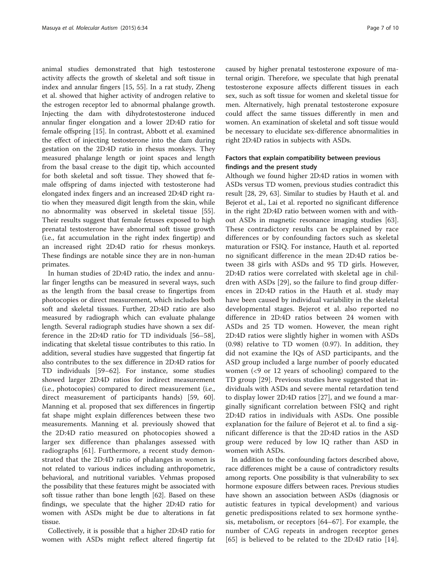animal studies demonstrated that high testosterone activity affects the growth of skeletal and soft tissue in index and annular fingers [\[15, 55](#page-8-0)]. In a rat study, Zheng et al. showed that higher activity of androgen relative to the estrogen receptor led to abnormal phalange growth. Injecting the dam with dihydrotestosterone induced annular finger elongation and a lower 2D:4D ratio for female offspring [[15\]](#page-8-0). In contrast, Abbott et al. examined the effect of injecting testosterone into the dam during gestation on the 2D:4D ratio in rhesus monkeys. They measured phalange length or joint spaces and length from the basal crease to the digit tip, which accounted for both skeletal and soft tissue. They showed that female offspring of dams injected with testosterone had elongated index fingers and an increased 2D:4D right ratio when they measured digit length from the skin, while no abnormality was observed in skeletal tissue [\[55](#page-8-0)]. Their results suggest that female fetuses exposed to high prenatal testosterone have abnormal soft tissue growth (i.e., fat accumulation in the right index fingertip) and an increased right 2D:4D ratio for rhesus monkeys. These findings are notable since they are in non-human primates.

In human studies of 2D:4D ratio, the index and annular finger lengths can be measured in several ways, such as the length from the basal crease to fingertips from photocopies or direct measurement, which includes both soft and skeletal tissues. Further, 2D:4D ratio are also measured by radiograph which can evaluate phalange length. Several radiograph studies have shown a sex difference in the 2D:4D ratio for TD individuals [[56](#page-8-0)–[58](#page-9-0)], indicating that skeletal tissue contributes to this ratio. In addition, several studies have suggested that fingertip fat also contributes to the sex difference in 2D:4D ratios for TD individuals [[59](#page-9-0)–[62](#page-9-0)]. For instance, some studies showed larger 2D:4D ratios for indirect measurement (i.e., photocopies) compared to direct measurement (i.e., direct measurement of participants hands) [[59](#page-9-0), [60](#page-9-0)]. Manning et al. proposed that sex differences in fingertip fat shape might explain differences between these two measurements. Manning et al. previously showed that the 2D:4D ratio measured on photocopies showed a larger sex difference than phalanges assessed with radiographs [\[61\]](#page-9-0). Furthermore, a recent study demonstrated that the 2D:4D ratio of phalanges in women is not related to various indices including anthropometric, behavioral, and nutritional variables. Vehmas proposed the possibility that these features might be associated with soft tissue rather than bone length [[62](#page-9-0)]. Based on these findings, we speculate that the higher 2D:4D ratio for women with ASDs might be due to alterations in fat tissue.

Collectively, it is possible that a higher 2D:4D ratio for women with ASDs might reflect altered fingertip fat caused by higher prenatal testosterone exposure of maternal origin. Therefore, we speculate that high prenatal testosterone exposure affects different tissues in each sex, such as soft tissue for women and skeletal tissue for men. Alternatively, high prenatal testosterone exposure could affect the same tissues differently in men and women. An examination of skeletal and soft tissue would be necessary to elucidate sex-difference abnormalities in right 2D:4D ratios in subjects with ASDs.

# Factors that explain compatibility between previous findings and the present study

Although we found higher 2D:4D ratios in women with ASDs versus TD women, previous studies contradict this result [\[28, 29](#page-8-0), [63](#page-9-0)]. Similar to studies by Hauth et al. and Bejerot et al., Lai et al. reported no significant difference in the right 2D:4D ratio between women with and without ASDs in magnetic resonance imaging studies [\[63](#page-9-0)]. These contradictory results can be explained by race differences or by confounding factors such as skeletal maturation or FSIQ. For instance, Hauth et al. reported no significant difference in the mean 2D:4D ratios between 38 girls with ASDs and 95 TD girls. However, 2D:4D ratios were correlated with skeletal age in children with ASDs [[29\]](#page-8-0), so the failure to find group differences in 2D:4D ratios in the Hauth et al. study may have been caused by individual variability in the skeletal developmental stages. Bejerot et al. also reported no difference in 2D:4D ratios between 24 women with ASDs and 25 TD women. However, the mean right 2D:4D ratios were slightly higher in women with ASDs (0.98) relative to TD women (0.97). In addition, they did not examine the IQs of ASD participants, and the ASD group included a large number of poorly educated women (<9 or 12 years of schooling) compared to the TD group [[29\]](#page-8-0). Previous studies have suggested that individuals with ASDs and severe mental retardation tend to display lower 2D:4D ratios [[27\]](#page-8-0), and we found a marginally significant correlation between FSIQ and right 2D:4D ratios in individuals with ASDs. One possible explanation for the failure of Bejerot et al. to find a significant difference is that the 2D:4D ratios in the ASD group were reduced by low IQ rather than ASD in women with ASDs.

In addition to the confounding factors described above, race differences might be a cause of contradictory results among reports. One possibility is that vulnerability to sex hormone exposure differs between races. Previous studies have shown an association between ASDs (diagnosis or autistic features in typical development) and various genetic predispositions related to sex hormone synthesis, metabolism, or receptors [[64](#page-9-0)–[67\]](#page-9-0). For example, the number of CAG repeats in androgen receptor genes [[65\]](#page-9-0) is believed to be related to the 2D:4D ratio [[14](#page-8-0)].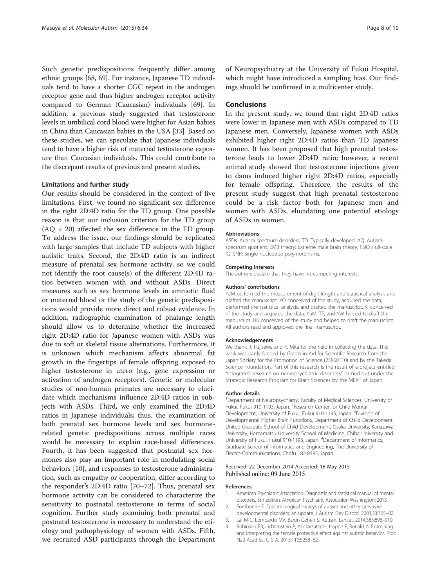<span id="page-7-0"></span>Such genetic predispositions frequently differ among ethnic groups [\[68, 69\]](#page-9-0). For instance, Japanese TD individuals tend to have a shorter CGC repeat in the androgen receptor gene and thus higher androgen receptor activity compared to German (Caucasian) individuals [\[69\]](#page-9-0). In addition, a previous study suggested that testosterone levels in umbilical cord blood were higher for Asian babies in China than Caucasian babies in the USA [\[33](#page-8-0)]. Based on these studies, we can speculate that Japanese individuals tend to have a higher risk of maternal testosterone exposure than Caucasian individuals. This could contribute to the discrepant results of previous and present studies.

#### Limitations and further study

Our results should be considered in the context of five limitations. First, we found no significant sex difference in the right 2D:4D ratio for the TD group. One possible reason is that our inclusion criterion for the TD group  $(AQ < 20)$  affected the sex difference in the TD group. To address the issue, our findings should be replicated with large samples that include TD subjects with higher autistic traits. Second, the 2D:4D ratio is an indirect measure of prenatal sex hormone activity, so we could not identify the root cause(s) of the different 2D:4D ratios between women with and without ASDs. Direct measures such as sex hormone levels in amniotic fluid or maternal blood or the study of the genetic predispositions would provide more direct and robust evidence. In addition, radiographic examination of phalange length should allow us to determine whether the increased right 2D:4D ratio for Japanese women with ASDs was due to soft or skeletal tissue alternations. Furthermore, it is unknown which mechanism affects abnormal fat growth in the fingertips of female offspring exposed to higher testosterone in utero (e.g., gene expression or activation of androgen receptors). Genetic or molecular studies of non-human primates are necessary to elucidate which mechanisms influence 2D:4D ratios in subjects with ASDs. Third, we only examined the 2D:4D ratios in Japanese individuals; thus, the examination of both prenatal sex hormone levels and sex hormonerelated genetic predispositions across multiple races would be necessary to explain race-based differences. Fourth, it has been suggested that postnatal sex hormones also play an important role in modulating social behaviors [[10](#page-8-0)], and responses to testosterone administration, such as empathy or cooperation, differ according to the responder's 2D:4D ratio [\[70](#page-9-0)–[72\]](#page-9-0). Thus, prenatal sex hormone activity can be considered to characterize the sensitivity to postnatal testosterone in terms of social cognition. Further study examining both prenatal and postnatal testosterone is necessary to understand the etiology and pathophysiology of women with ASDs. Fifth, we recruited ASD participants through the Department

of Neuropsychiatry at the University of Fukui Hospital, which might have introduced a sampling bias. Our findings should be confirmed in a multicenter study.

# Conclusions

In the present study, we found that right 2D:4D ratios were lower in Japanese men with ASDs compared to TD Japanese men. Conversely, Japanese women with ASDs exhibited higher right 2D:4D ratios than TD Japanese women. It has been proposed that high prenatal testosterone leads to lower 2D:4D ratio; however, a recent animal study showed that testosterone injections given to dams induced higher right 2D:4D ratios, especially for female offspring. Therefore, the results of the present study suggest that high prenatal testosterone could be a risk factor both for Japanese men and women with ASDs, elucidating one potential etiology of ASDs in women.

#### Abbreviations

ASDs: Autism spectrum disorders; TD: Typically developed; AQ: Autismspectrum quotient; EMB theory: Extreme male brain theory; FSIQ: Full-scale IQ; SNP: Single nucleotide polymorphisms.

#### Competing interests

The authors declare that they have no competing interests.

#### Authors' contributions

YaM performed the measurement of digit length and statistical analysis and drafted the manuscript. YO conceived of the study, acquired the data, performed the statistical analysis, and drafted the manuscript. KI conceived of the study and acquired the data. YuM, TF, and YW helped to draft the manuscript. HK conceived of the study and helped to draft the manuscript. All authors read and approved the final manuscript.

#### Acknowledgements

We thank R. Fujisawa and K. Mita for the help in collecting the data. This work was partly funded by Grants-in-Aid for Scientific Research from the Japan Society for the Promotion of Science (25860110) and by the Takeda Science Foundation. Part of this research is the result of a project entitled "Integrated research on neuropsychiatric disorders" carried out under the Strategic Research Program for Brain Sciences by the MEXT of Japan.

#### Author details

<sup>1</sup>Department of Neuropsychiatry, Faculty of Medical Sciences, University of Fukui, Fukui 910-1193, Japan. <sup>2</sup>Research Center for Child Mental Development, University of Fukui, Fukui 910-1193, Japan. <sup>3</sup>Division of Developmental Higher Brain Functions, Department of Child Development, United Graduate School of Child Development, Osaka University, Kanazawa University, Hamamatsu University School of Medicine, Chiba University and University of Fukui, Fukui 910-1193, Japan. <sup>4</sup>Department of Informatics Graduate School of Informatics and Engineering, The University of Electro-Communications, Chofu 182-8585, Japan.

#### Received: 22 December 2014 Accepted: 18 May 2015 Published online: 09 June 2015

#### References

- 1. American Psychiatric Association. Diagnostic and statistical manual of mental disorders. 5th edition. American Psychiatric Association Washington: 2013.
- 2. Fombonne E. Epidemiological surveys of autism and other pervasive developmental disorders: an update. J Autism Dev Disord. 2003;33:365–82.
- 3. Lai M-C, Lombardo MV, Baron-Cohen S. Autism. Lancet. 2014;383:896–910. 4. Robinson EB, Lichtenstein P, Anckarsater H, Happe F, Ronald A. Examining
- and interpreting the female protective effect against autistic behavior. Proc Natl Acad Sci U S A. 2013;110:5258–62.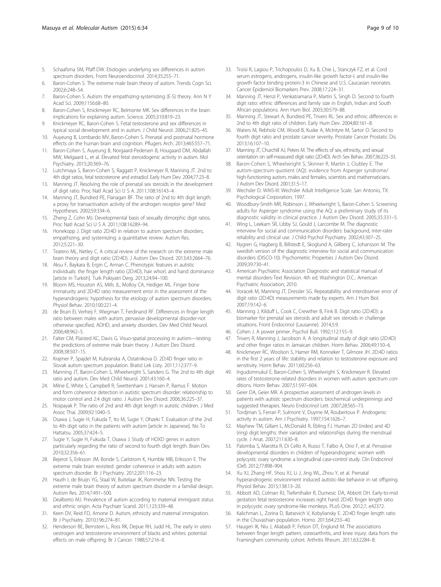- <span id="page-8-0"></span>5. Schaafsma SM, Pfaff DW. Etiologies underlying sex differences in autism spectrum disorders. Front Neuroendocrinol. 2014;35:255–71.
- 6. Baron-Cohen S. The extreme male brain theory of autism. Trends Cogn Sci. 2002;6:248–54.
- 7. Baron-Cohen S. Autism: the empathizing-systemizing (E-S) theory. Ann N Y Acad Sci. 2009;1156:68–80.
- 8. Baron-Cohen S, Knickmeyer RC, Belmonte MK. Sex differences in the brain: implications for explaining autism. Science. 2005;310:819–23.
- 9. Knickmeyer RC, Baron-Cohen S. Fetal testosterone and sex differences in typical social development and in autism. J Child Neurol. 2006;21:825–45.
- 10. Auyeung B, Lombardo MV, Baron-Cohen S. Prenatal and postnatal hormone effects on the human brain and cognition. Pflugers Arch. 2013;465:557–71.
- 11. Baron-Cohen S, Auyeung B, Norgaard-Pedersen B, Hougaard DM, Abdallah MW, Melgaard L, et al. Elevated fetal steroidogenic activity in autism. Mol Psychiatry. 2015;20:369–76.
- 12. Lutchmaya S, Baron-Cohen S, Raggatt P, Knickmeyer R, Manning JT. 2nd to 4th digit ratios, fetal testosterone and estradiol. Early Hum Dev. 2004;77:23–8.
- 13. Manning JT. Resolving the role of prenatal sex steroids in the development of digit ratio. Proc Natl Acad Sci U S A. 2011;108:16143–4.
- 14. Manning JT, Bundred PE, Flanagan BF. The ratio of 2nd to 4th digit length: a proxy for transactivation activity of the androgen receptor gene? Med Hypotheses. 2002;59:334–6.
- 15. Zheng Z, Cohn MJ. Developmental basis of sexually dimorphic digit ratios. Proc Natl Acad Sci U S A. 2011;108:16289–94.
- 16. Honekopp J. Digit ratio 2D:4D in relation to autism spectrum disorders, empathizing, and systemizing: a quantitative review. Autism Res. 2012;5:221–30.
- 17. Teatero ML, Netley C. A critical review of the research on the extreme male brain theory and digit ratio (2D:4D). J Autism Dev Disord. 2013;43:2664–76.
- 18. Aksu F, Baykara B, Ergin C, Arman C. Phenotypic features in autistic individuals: the finger length ratio (2D:4D), hair whorl, and hand dominance [article in Turkish]. Turk Psikiyatri Derg. 2013;24:94–100.
- 19. Bloom MS, Houston AS, Mills JL, Molloy CA, Hediger ML. Finger bone immaturity and 2D:4D ratio measurement error in the assessment of the hyperandrogenic hypothesis for the etiology of autism spectrum disorders. Physiol Behav. 2010;100:221–4.
- 20. de Bruin EI, Verheij F, Wiegman T, Ferdinand RF. Differences in finger length ratio between males with autism, pervasive developmental disorder-not otherwise specified, ADHD, and anxiety disorders. Dev Med Child Neurol. 2006;48:962–5.
- 21. Falter CM, Plaisted KC, Davis G. Visuo-spatial processing in autism—testing the predictions of extreme male brain theory. J Autism Dev Disord. 2008;38:507–15.
- 22. Krajmer P, Spajdel M, Kubranska A, Ostatnikova D. 2D:4D finger ratio in Slovak autism spectrum population. Bratisl Lek Listy. 2011;112:377–9.
- 23. Manning JT, Baron-Cohen S, Wheelwright S, Sanders G, The 2nd to 4th digit ratio and autism. Dev Med Child Neurol. 2001;43:160–4.
- 24. Milne E, White S, Campbell R, Swettenham J, Hansen P, Ramus F. Motion and form coherence detection in autistic spectrum disorder: relationship to motor control and 2:4 digit ratio. J Autism Dev Disord. 2006;36:225–37.
- 25. Noipayak P. The ratio of 2nd and 4th digit length in autistic children. J Med Assoc Thai. 2009;92:1040–5.
- 26. Osawa J, Sugie H, Fukuda T, Ito M, Sugie Y, Ohzeki T. Evaluation of the 2nd to 4th digit ratio in the patients with autism [article in Japanese]. No To Hattatsu. 2005;37:424–5.
- 27. Sugie Y, Sugie H, Fukuda T, Osawa J. Study of HOXD genes in autism particularly regarding the ratio of second to fourth digit length. Brain Dev. 2010;32:356–61.
- 28. Bejerot S, Eriksson JM, Bonde S, Carlstrom K, Humble MB, Eriksson E. The extreme male brain revisited: gender coherence in adults with autism spectrum disorder. Br J Psychiatry. 2012;201:116–23.
- 29. Hauth I, de Bruijn YG, Staal W, Buitelaar JK, Rommelse NN. Testing the extreme male brain theory of autism spectrum disorder in a familial design. Autism Res. 2014;7:491–500.
- 30. Dealberto MJ. Prevalence of autism according to maternal immigrant status and ethnic origin. Acta Psychiatr Scand. 2011;123:339–48.
- 31. Keen DV, Reid FD, Arnone D. Autism, ethnicity and maternal immigration. Br J Psychiatry. 2010;196:274–81.
- 32. Henderson BE, Bernstein L, Ross RK, Depue RH, Judd HL. The early in utero oestrogen and testosterone environment of blacks and whites: potential effects on male offspring. Br J Cancer. 1988;57:216–8.
- 33. Troisi R, Lagiou P, Trichopoulos D, Xu B, Chie L, Stanczyk FZ, et al. Cord serum estrogens, androgens, insulin-like growth factor-I, and insulin-like growth factor binding protein-3 in Chinese and U.S. Caucasian neonates. Cancer Epidemiol Biomarkers Prev. 2008;17:224–31.
- 34. Manning JT, Henzi P, Venkatramana P, Martin S, Singh D. Second to fourth digit ratio: ethnic differences and family size in English, Indian and South African populations. Ann Hum Biol. 2003;30:579–88.
- 35. Manning JT, Stewart A, Bundred PE, Trivers RL. Sex and ethnic differences in 2nd to 4th digit ratio of children. Early Hum Dev. 2004;80:161–8.
- 36. Waters M, Rebholz CM, Wood B, Kuske A, McIntyre M, Sartor O. Second to fourth digit ratio and prostate cancer severity. Prostate Cancer Prostatic Dis. 2013;16:107–10.
- 37. Manning JT, Churchill AJ, Peters M. The effects of sex, ethnicity, and sexual orientation on self-measured digit ratio (2D:4D). Arch Sex Behav. 2007;36:223–33.
- 38. Baron-Cohen S, Wheelwright S, Skinner R, Martin J, Clubley E. The autism-spectrum quotient (AQ): evidence from Asperger syndrome/ high-functioning autism, males and females, scientists and mathematicians. J Autism Dev Disord. 2001;31:5–17.
- 39. Wechsler D. WAIS-III: Wechsler Adult Intelligence Scale. San Antonio, TX: Psychological Corporation; 1997.
- 40. Woodbury-Smith MR, Robinson J, Wheelwright S, Baron-Cohen S. Screening adults for Asperger syndrome using the AQ: a preliminary study of its diagnostic validity in clinical practice. J Autism Dev Disord. 2005;35:331–5.
- 41. Wing L, Leekam SR, Libby SJ, Gould J, Larcombe M. The diagnostic interview for social and communication disorders: background, inter-rater reliability and clinical use. J Child Psychol Psychiatry. 2002;43:307–25.
- 42. Nygren G, Hagberg B, Billstedt E, Skoglund A, Gillberg C, Johansson M. The swedish version of the diagnostic interview for social and communication disorders (DISCO-10). Psychometric Properties J Autism Dev Disord. 2009;39:730–41.
- 43. American Psychiatric Association Diagnostic and statistical manual of mental disorders-Text Revision. 4th ed. Washington D.C.: American Psychiatric Association; 2010.
- 44. Voracek M, Manning JT, Dressler SG. Repeatability and interobserver error of digit ratio (2D:4D) measurements made by experts. Am J Hum Biol. 2007;19:142–6.
- 45. Manning J, Kilduff L, Cook C, Crewther B, Fink B. Digit ratio (2D:4D): a biomarker for prenatal sex steroids and adult sex steroids in challenge situations. Front Endocrinol (Lausanne). 2014;5:9.
- 46. Cohen J. A power primer. Psychol Bull. 1992;112:155–9.
- 47. Trivers R, Manning J, Jacobson A. A longitudinal study of digit ratio (2D:4D) and other finger ratios in Jamaican children. Horm Behav. 2006;49:150–6.
- 48. Knickmeyer RC, Woolson S, Hamer RM, Konneker T, Gilmore JH. 2D:4D ratios in the first 2 years of life: stability and relation to testosterone exposure and sensitivity. Horm Behav. 2011;60:256–63.
- 49. Ingudomnukul E, Baron-Cohen S, Wheelwright S, Knickmeyer R. Elevated rates of testosterone-related disorders in women with autism spectrum conditions. Horm Behav. 2007;51:597–604.
- 50. Geier DA, Geier MR. A prospective assessment of androgen levels in patients with autistic spectrum disorders: biochemical underpinnings and suggested therapies. Neuro Endocrinol Lett. 2007;28:565–73.
- 51. Tordjman S, Ferrari P, Sulmont V, Duyme M, Roubertoux P. Androgenic activity in autism. Am J Psychiatry. 1997;154:1626–7.
- 52. Mayhew TM, Gillam L, McDonald R, Ebling FJ. Human 2D (index) and 4D (ring) digit lengths: their variation and relationships during the menstrual cycle. J Anat. 2007;211:630–8.
- 53. Palomba S, Marotta R, Di Cello A, Russo T, Falbo A, Orio F, et al. Pervasive developmental disorders in children of hyperandrogenic women with polycystic ovary syndrome: a longitudinal case-control study. Clin Endocrinol (Oxf). 2012;77:898–904.
- 54. Xu XJ, Zhang HF, Shou XJ, Li J, Jing WL, Zhou Y, et al. Prenatal hyperandrogenic environment induced autistic-like behavior in rat offspring. Physiol Behav. 2015;138:13–20.
- 55. Abbott AD, Colman RJ, Tiefenthaler R, Dumesic DA, Abbott DH. Early-to-mid gestation fetal testosterone increases right hand 2D:4D finger length ratio in polycystic ovary syndrome-like monkeys. PLoS One. 2012;7, e42372.
- 56. Kalichman L, Zorina D, Batsevich V, Kobyliansky E. 2D:4D finger length ratio in the Chuvashian population. Homo. 2013;64:233–40.
- 57. Haugen IK, Niu J, Aliabadi P, Felson DT, Englund M. The associations between finger length pattern, osteoarthritis, and knee injury: data from the Framingham community cohort. Arthritis Rheum. 2011;63:2284–8.